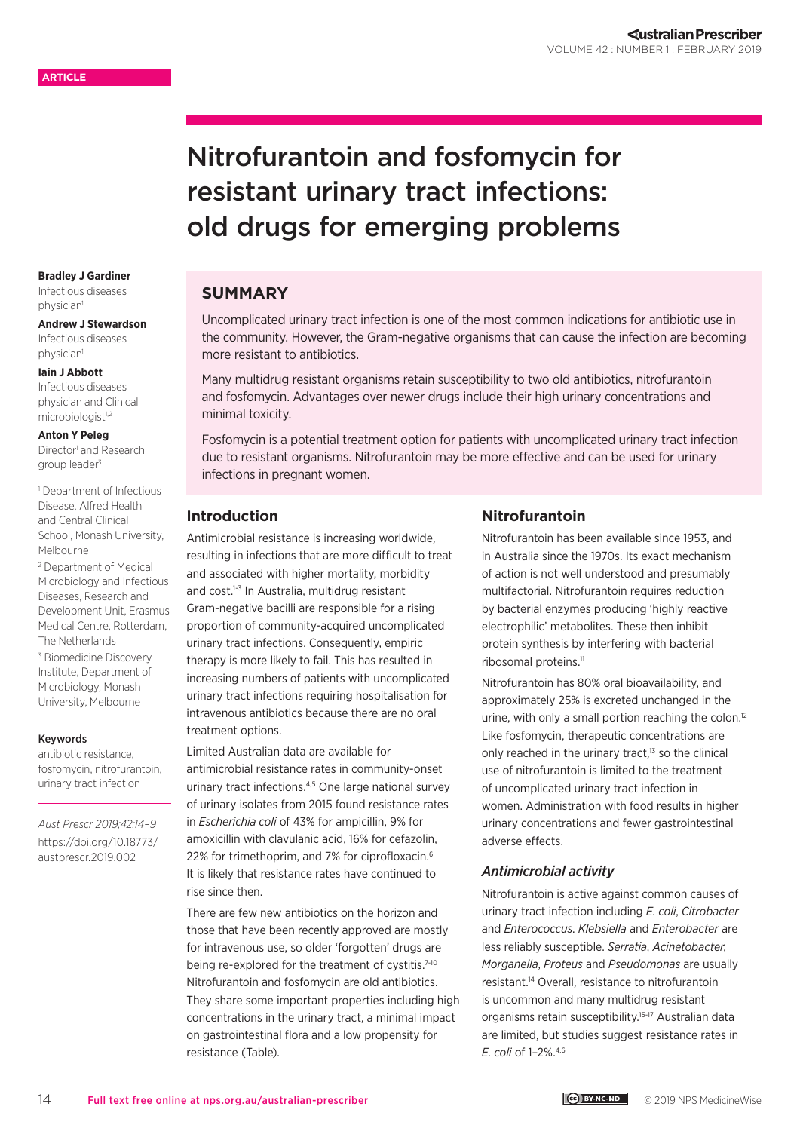# Nitrofurantoin and fosfomycin for resistant urinary tract infections: old drugs for emerging problems

# **SUMMARY**

Uncomplicated urinary tract infection is one of the most common indications for antibiotic use in the community. However, the Gram-negative organisms that can cause the infection are becoming more resistant to antibiotics.

Many multidrug resistant organisms retain susceptibility to two old antibiotics, nitrofurantoin and fosfomycin. Advantages over newer drugs include their high urinary concentrations and minimal toxicity.

Fosfomycin is a potential treatment option for patients with uncomplicated urinary tract infection due to resistant organisms. Nitrofurantoin may be more effective and can be used for urinary infections in pregnant women.

# **Introduction**

Antimicrobial resistance is increasing worldwide, resulting in infections that are more difficult to treat and associated with higher mortality, morbidity and cost.1-3 In Australia, multidrug resistant Gram-negative bacilli are responsible for a rising proportion of community-acquired uncomplicated urinary tract infections. Consequently, empiric therapy is more likely to fail. This has resulted in increasing numbers of patients with uncomplicated urinary tract infections requiring hospitalisation for intravenous antibiotics because there are no oral treatment options.

Limited Australian data are available for antimicrobial resistance rates in community-onset urinary tract infections.4,5 One large national survey of urinary isolates from 2015 found resistance rates in *Escherichia coli* of 43% for ampicillin, 9% for amoxicillin with clavulanic acid, 16% for cefazolin, 22% for trimethoprim, and 7% for ciprofloxacin.<sup>6</sup> It is likely that resistance rates have continued to rise since then.

There are few new antibiotics on the horizon and those that have been recently approved are mostly for intravenous use, so older 'forgotten' drugs are being re-explored for the treatment of cystitis.<sup>7-10</sup> Nitrofurantoin and fosfomycin are old antibiotics. They share some important properties including high concentrations in the urinary tract, a minimal impact on gastrointestinal flora and a low propensity for resistance (Table).

# **Nitrofurantoin**

Nitrofurantoin has been available since 1953, and in Australia since the 1970s. Its exact mechanism of action is not well understood and presumably multifactorial. Nitrofurantoin requires reduction by bacterial enzymes producing 'highly reactive electrophilic' metabolites. These then inhibit protein synthesis by interfering with bacterial ribosomal proteins.11

Nitrofurantoin has 80% oral bioavailability, and approximately 25% is excreted unchanged in the urine, with only a small portion reaching the colon.<sup>12</sup> Like fosfomycin, therapeutic concentrations are only reached in the urinary tract, $13$  so the clinical use of nitrofurantoin is limited to the treatment of uncomplicated urinary tract infection in women. Administration with food results in higher urinary concentrations and fewer gastrointestinal adverse effects.

# *Antimicrobial activity*

Nitrofurantoin is active against common causes of urinary tract infection including *E. coli*, *Citrobacter* and *Enterococcus*. *Klebsiella* and *Enterobacter* are less reliably susceptible. *Serratia*, *Acinetobacter*, *Morganella*, *Proteus* and *Pseudomonas* are usually resistant.14 Overall, resistance to nitrofurantoin is uncommon and many multidrug resistant organisms retain susceptibility.15-17 Australian data are limited, but studies suggest resistance rates in *E. coli* of 1–2%.4,6

**Bradley J Gardiner** Infectious diseases physician<sup>1</sup>

**Andrew J Stewardson** Infectious diseases physician<sup>1</sup>

## **Iain J Abbott**

Infectious diseases physician and Clinical microbiologist<sup>1,2</sup>

# **Anton Y Peleg**

Director<sup>1</sup> and Research group leader<sup>3</sup>

1 Department of Infectious Disease, Alfred Health and Central Clinical School, Monash University, Melbourne

2 Department of Medical Microbiology and Infectious Diseases, Research and Development Unit, Erasmus Medical Centre, Rotterdam, The Netherlands <sup>3</sup> Biomedicine Discovery Institute, Department of Microbiology, Monash University, Melbourne

## Keywords

antibiotic resistance, fosfomycin, nitrofurantoin, urinary tract infection

*Aust Prescr 2019;42:14–9* [https://doi.org/10.18773/](https://doi.org/10.18773/austprescr.2019.002) [austprescr.2019.002](https://doi.org/10.18773/austprescr.2019.002)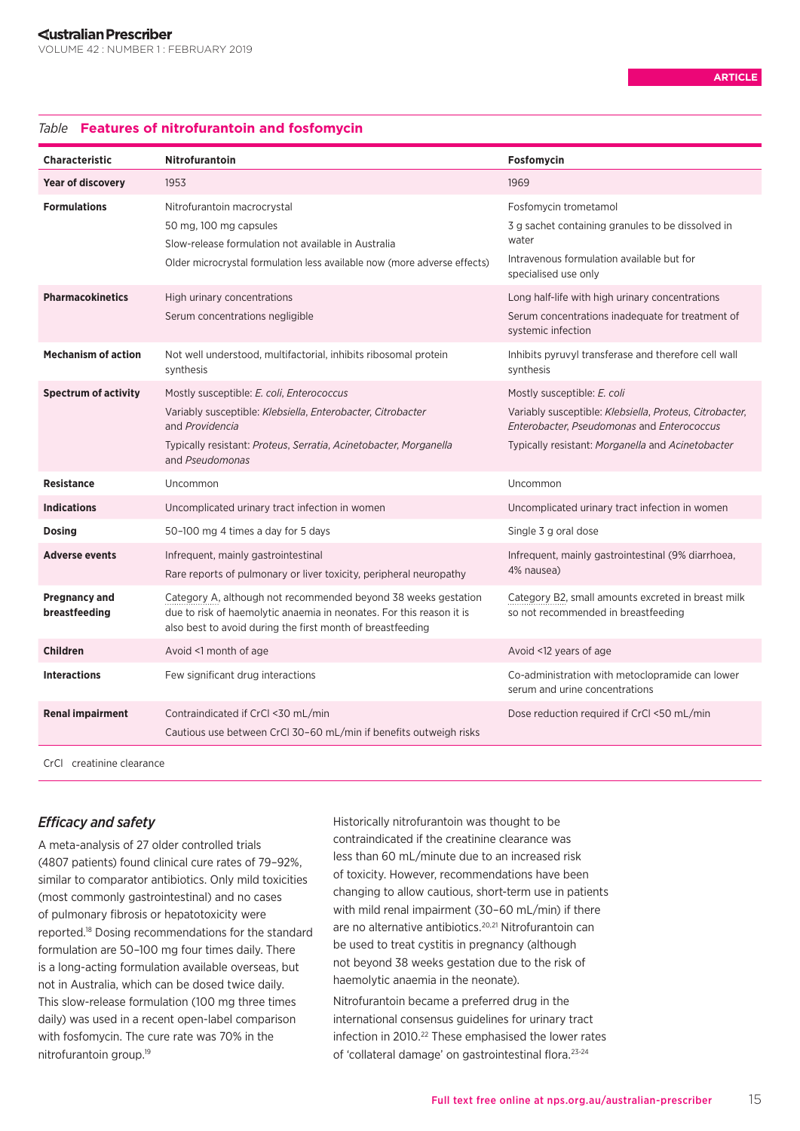## *Table* **Features of nitrofurantoin and fosfomycin**

| <b>Characteristic</b>                 | <b>Nitrofurantoin</b>                                                                                                                                                                                               | Fosfomycin                                                                                                                                                                                |
|---------------------------------------|---------------------------------------------------------------------------------------------------------------------------------------------------------------------------------------------------------------------|-------------------------------------------------------------------------------------------------------------------------------------------------------------------------------------------|
| <b>Year of discovery</b>              | 1953                                                                                                                                                                                                                | 1969                                                                                                                                                                                      |
| <b>Formulations</b>                   | Nitrofurantoin macrocrystal<br>50 mg, 100 mg capsules<br>Slow-release formulation not available in Australia<br>Older microcrystal formulation less available now (more adverse effects)                            | Fosfomycin trometamol<br>3 g sachet containing granules to be dissolved in<br>water<br>Intravenous formulation available but for<br>specialised use only                                  |
| <b>Pharmacokinetics</b>               | High urinary concentrations<br>Serum concentrations negligible                                                                                                                                                      | Long half-life with high urinary concentrations<br>Serum concentrations inadequate for treatment of<br>systemic infection                                                                 |
| <b>Mechanism of action</b>            | Not well understood, multifactorial, inhibits ribosomal protein<br>synthesis                                                                                                                                        | Inhibits pyruvyl transferase and therefore cell wall<br>synthesis                                                                                                                         |
| <b>Spectrum of activity</b>           | Mostly susceptible: E. coli, Enterococcus<br>Variably susceptible: Klebsiella, Enterobacter, Citrobacter<br>and Providencia<br>Typically resistant: Proteus, Serratia, Acinetobacter, Morganella<br>and Pseudomonas | Mostly susceptible: E. coli<br>Variably susceptible: Klebsiella, Proteus, Citrobacter,<br>Enterobacter, Pseudomonas and Enterococcus<br>Typically resistant: Morganella and Acinetobacter |
| <b>Resistance</b>                     | Uncommon                                                                                                                                                                                                            | Uncommon                                                                                                                                                                                  |
| <b>Indications</b>                    | Uncomplicated urinary tract infection in women                                                                                                                                                                      | Uncomplicated urinary tract infection in women                                                                                                                                            |
| <b>Dosing</b>                         | 50-100 mg 4 times a day for 5 days                                                                                                                                                                                  | Single 3 g oral dose                                                                                                                                                                      |
| <b>Adverse events</b>                 | Infrequent, mainly gastrointestinal<br>Rare reports of pulmonary or liver toxicity, peripheral neuropathy                                                                                                           | Infrequent, mainly gastrointestinal (9% diarrhoea,<br>4% nausea)                                                                                                                          |
| <b>Pregnancy and</b><br>breastfeeding | Category A, although not recommended beyond 38 weeks gestation<br>due to risk of haemolytic anaemia in neonates. For this reason it is<br>also best to avoid during the first month of breastfeeding                | Category B2, small amounts excreted in breast milk<br>so not recommended in breastfeeding                                                                                                 |
| <b>Children</b>                       | Avoid <1 month of age                                                                                                                                                                                               | Avoid <12 years of age                                                                                                                                                                    |
| <b>Interactions</b>                   | Few significant drug interactions                                                                                                                                                                                   | Co-administration with metoclopramide can lower<br>serum and urine concentrations                                                                                                         |
| <b>Renal impairment</b>               | Contraindicated if CrCl <30 mL/min<br>Cautious use between CrCl 30-60 mL/min if benefits outweigh risks                                                                                                             | Dose reduction required if CrCl <50 mL/min                                                                                                                                                |

CrCl creatinine clearance

# *Efficacy and safety*

A meta-analysis of 27 older controlled trials (4807 patients) found clinical cure rates of 79–92%, similar to comparator antibiotics. Only mild toxicities (most commonly gastrointestinal) and no cases of pulmonary fibrosis or hepatotoxicity were reported.18 Dosing recommendations for the standard formulation are 50–100 mg four times daily. There is a long-acting formulation available overseas, but not in Australia, which can be dosed twice daily. This slow-release formulation (100 mg three times daily) was used in a recent open-label comparison with fosfomycin. The cure rate was 70% in the nitrofurantoin group.19

Historically nitrofurantoin was thought to be contraindicated if the creatinine clearance was less than 60 mL/minute due to an increased risk of toxicity. However, recommendations have been changing to allow cautious, short-term use in patients with mild renal impairment (30–60 mL/min) if there are no alternative antibiotics.<sup>20,21</sup> Nitrofurantoin can be used to treat cystitis in pregnancy (although not beyond 38 weeks gestation due to the risk of haemolytic anaemia in the neonate).

Nitrofurantoin became a preferred drug in the international consensus guidelines for urinary tract infection in 2010.<sup>22</sup> These emphasised the lower rates of 'collateral damage' on gastrointestinal flora.<sup>23-24</sup>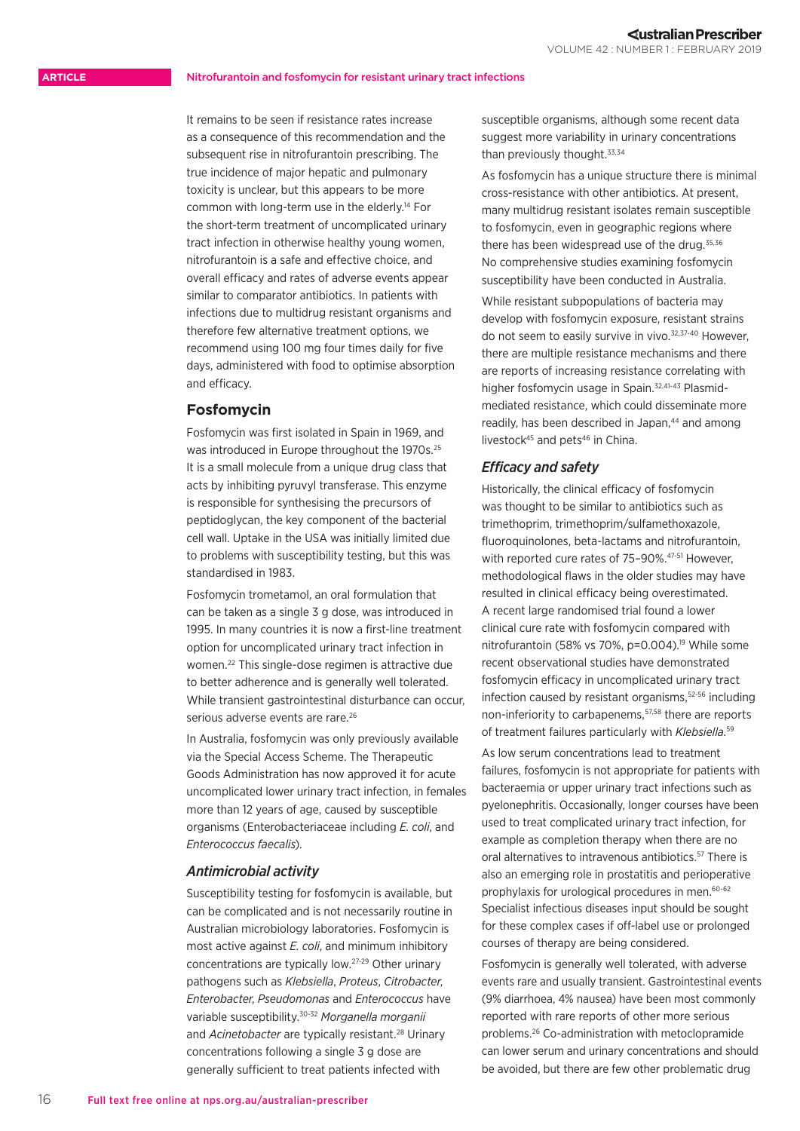#### Nitrofurantoin and fosfomycin for resistant urinary tract infections

It remains to be seen if resistance rates increase as a consequence of this recommendation and the subsequent rise in nitrofurantoin prescribing. The true incidence of major hepatic and pulmonary toxicity is unclear, but this appears to be more common with long-term use in the elderly.14 For the short-term treatment of uncomplicated urinary tract infection in otherwise healthy young women, nitrofurantoin is a safe and effective choice, and overall efficacy and rates of adverse events appear similar to comparator antibiotics. In patients with infections due to multidrug resistant organisms and therefore few alternative treatment options, we recommend using 100 mg four times daily for five days, administered with food to optimise absorption and efficacy.

## **Fosfomycin**

Fosfomycin was first isolated in Spain in 1969, and was introduced in Europe throughout the 1970s.<sup>25</sup> It is a small molecule from a unique drug class that acts by inhibiting pyruvyl transferase. This enzyme is responsible for synthesising the precursors of peptidoglycan, the key component of the bacterial cell wall. Uptake in the USA was initially limited due to problems with susceptibility testing, but this was standardised in 1983.

Fosfomycin trometamol, an oral formulation that can be taken as a single 3 g dose, was introduced in 1995. In many countries it is now a first-line treatment option for uncomplicated urinary tract infection in women.22 This single-dose regimen is attractive due to better adherence and is generally well tolerated. While transient gastrointestinal disturbance can occur, serious adverse events are rare.<sup>26</sup>

In Australia, fosfomycin was only previously available via the Special Access Scheme. The Therapeutic Goods Administration has now approved it for acute uncomplicated lower urinary tract infection, in females more than 12 years of age, caused by susceptible organisms (Enterobacteriaceae including *E. coli*, and *Enterococcus faecalis*).

## *Antimicrobial activity*

Susceptibility testing for fosfomycin is available, but can be complicated and is not necessarily routine in Australian microbiology laboratories. Fosfomycin is most active against *E. coli*, and minimum inhibitory concentrations are typically low.27-29 Other urinary pathogens such as *Klebsiella*, *Proteus*, *Citrobacter*, *Enterobacter*, *Pseudomonas* and *Enterococcus* have variable susceptibility.30-32 *Morganella morganii* and *Acinetobacter* are typically resistant.<sup>28</sup> Urinary concentrations following a single 3 g dose are generally sufficient to treat patients infected with

susceptible organisms, although some recent data suggest more variability in urinary concentrations than previously thought.<sup>33,34</sup>

As fosfomycin has a unique structure there is minimal cross-resistance with other antibiotics. At present, many multidrug resistant isolates remain susceptible to fosfomycin, even in geographic regions where there has been widespread use of the drug.<sup>35,36</sup> No comprehensive studies examining fosfomycin susceptibility have been conducted in Australia.

While resistant subpopulations of bacteria may develop with fosfomycin exposure, resistant strains do not seem to easily survive in vivo.32,37-40 However, there are multiple resistance mechanisms and there are reports of increasing resistance correlating with higher fosfomycin usage in Spain.<sup>32,41-43</sup> Plasmidmediated resistance, which could disseminate more readily, has been described in Japan.<sup>44</sup> and among livestock<sup>45</sup> and pets<sup>46</sup> in China.

## *Efficacy and safety*

Historically, the clinical efficacy of fosfomycin was thought to be similar to antibiotics such as trimethoprim, trimethoprim/sulfamethoxazole, fluoroquinolones, beta-lactams and nitrofurantoin, with reported cure rates of 75-90%.<sup>47-51</sup> However, methodological flaws in the older studies may have resulted in clinical efficacy being overestimated. A recent large randomised trial found a lower clinical cure rate with fosfomycin compared with nitrofurantoin (58% vs 70%, p=0.004).19 While some recent observational studies have demonstrated fosfomycin efficacy in uncomplicated urinary tract infection caused by resistant organisms,52-56 including non-inferiority to carbapenems,57,58 there are reports of treatment failures particularly with *Klebsiella*. 59

As low serum concentrations lead to treatment failures, fosfomycin is not appropriate for patients with bacteraemia or upper urinary tract infections such as pyelonephritis. Occasionally, longer courses have been used to treat complicated urinary tract infection, for example as completion therapy when there are no oral alternatives to intravenous antibiotics.57 There is also an emerging role in prostatitis and perioperative prophylaxis for urological procedures in men.60-62 Specialist infectious diseases input should be sought for these complex cases if off-label use or prolonged courses of therapy are being considered.

Fosfomycin is generally well tolerated, with adverse events rare and usually transient. Gastrointestinal events (9% diarrhoea, 4% nausea) have been most commonly reported with rare reports of other more serious problems.26 Co-administration with metoclopramide can lower serum and urinary concentrations and should be avoided, but there are few other problematic drug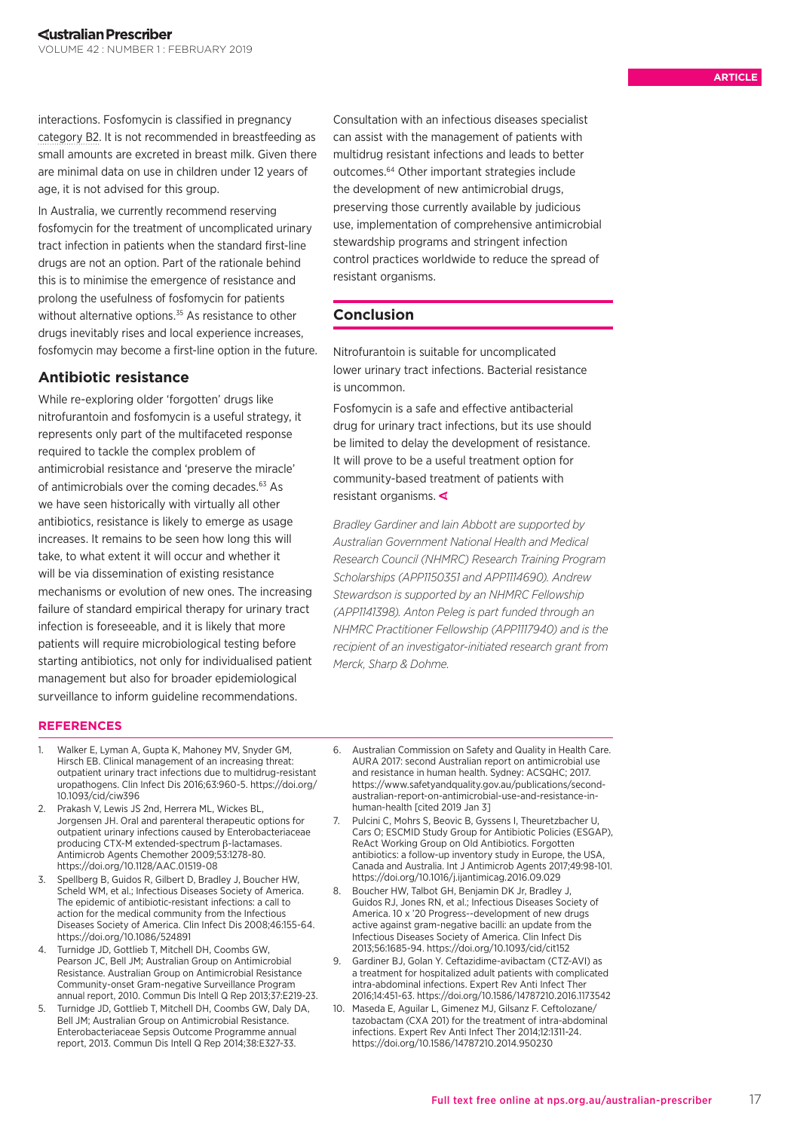interactions. Fosfomycin is classified in pregnancy [category B2.](https://www.tga.gov.au/australian-categorisation-system-prescribing-medicines-pregnancy) It is not recommended in breastfeeding as small amounts are excreted in breast milk. Given there are minimal data on use in children under 12 years of age, it is not advised for this group.

In Australia, we currently recommend reserving fosfomycin for the treatment of uncomplicated urinary tract infection in patients when the standard first-line drugs are not an option. Part of the rationale behind this is to minimise the emergence of resistance and prolong the usefulness of fosfomycin for patients without alternative options.<sup>35</sup> As resistance to other drugs inevitably rises and local experience increases, fosfomycin may become a first-line option in the future.

# **Antibiotic resistance**

While re-exploring older 'forgotten' drugs like nitrofurantoin and fosfomycin is a useful strategy, it represents only part of the multifaceted response required to tackle the complex problem of antimicrobial resistance and 'preserve the miracle' of antimicrobials over the coming decades.<sup>63</sup> As we have seen historically with virtually all other antibiotics, resistance is likely to emerge as usage increases. It remains to be seen how long this will take, to what extent it will occur and whether it will be via dissemination of existing resistance mechanisms or evolution of new ones. The increasing failure of standard empirical therapy for urinary tract infection is foreseeable, and it is likely that more patients will require microbiological testing before starting antibiotics, not only for individualised patient management but also for broader epidemiological surveillance to inform guideline recommendations.

Consultation with an infectious diseases specialist can assist with the management of patients with multidrug resistant infections and leads to better outcomes.64 Other important strategies include the development of new antimicrobial drugs, preserving those currently available by judicious use, implementation of comprehensive antimicrobial stewardship programs and stringent infection control practices worldwide to reduce the spread of resistant organisms.

# **Conclusion**

Nitrofurantoin is suitable for uncomplicated lower urinary tract infections. Bacterial resistance is uncommon.

Fosfomycin is a safe and effective antibacterial drug for urinary tract infections, but its use should be limited to delay the development of resistance. It will prove to be a useful treatment option for community-based treatment of patients with resistant organisms.

*Bradley Gardiner and Iain Abbott are supported by Australian Government National Health and Medical Research Council (NHMRC) Research Training Program Scholarships (APP1150351 and APP1114690). Andrew Stewardson is supported by an NHMRC Fellowship (APP1141398). Anton Peleg is part funded through an NHMRC Practitioner Fellowship (APP1117940) and is the recipient of an investigator-initiated research grant from Merck, Sharp & Dohme.*

## **REFERENCES**

- 1. Walker E, Lyman A, Gupta K, Mahoney MV, Snyder GM, Hirsch EB. Clinical management of an increasing threat: outpatient urinary tract infections due to multidrug-resistant uropathogens. Clin Infect Dis 2016;63:960-5. [https://doi.org/](https://doi.org/10.1093/cid/ciw396) [10.1093/cid/ciw396](https://doi.org/10.1093/cid/ciw396)
- 2. Prakash V, Lewis JS 2nd, Herrera ML, Wickes BL, Jorgensen JH. Oral and parenteral therapeutic options for outpatient urinary infections caused by Enterobacteriaceae producing CTX-M extended-spectrum β-lactamases. Antimicrob Agents Chemother 2009;53:1278-80. <https://doi.org/10.1128/AAC.01519-08>
- 3. Spellberg B, Guidos R, Gilbert D, Bradley J, Boucher HW, Scheld WM, et al.; Infectious Diseases Society of America. The epidemic of antibiotic-resistant infections: a call to action for the medical community from the Infectious Diseases Society of America. Clin Infect Dis 2008;46:155-64. <https://doi.org/10.1086/524891>
- 4. [Turnidge JD, Gottlieb T, Mitchell DH, Coombs GW,](https://www.ncbi.nlm.nih.gov/entrez/query.fcgi?cmd=Retrieve&db=PubMed&list_uids=24890957&dopt=Abstract)  [Pearson JC, Bell JM; Australian Group on Antimicrobial](https://www.ncbi.nlm.nih.gov/entrez/query.fcgi?cmd=Retrieve&db=PubMed&list_uids=24890957&dopt=Abstract)  [Resistance. Australian Group on Antimicrobial Resistance](https://www.ncbi.nlm.nih.gov/entrez/query.fcgi?cmd=Retrieve&db=PubMed&list_uids=24890957&dopt=Abstract)  [Community-onset Gram-negative Surveillance Program](https://www.ncbi.nlm.nih.gov/entrez/query.fcgi?cmd=Retrieve&db=PubMed&list_uids=24890957&dopt=Abstract)  [annual report, 2010. Commun Dis Intell Q Rep 2013;37:E219-23](https://www.ncbi.nlm.nih.gov/entrez/query.fcgi?cmd=Retrieve&db=PubMed&list_uids=24890957&dopt=Abstract).
- 5. [Turnidge JD, Gottlieb T, Mitchell DH, Coombs GW, Daly DA,](https://www.ncbi.nlm.nih.gov/entrez/query.fcgi?cmd=Retrieve&db=PubMed&list_uids=25631595&dopt=Abstract)  [Bell JM; Australian Group on Antimicrobial Resistance.](https://www.ncbi.nlm.nih.gov/entrez/query.fcgi?cmd=Retrieve&db=PubMed&list_uids=25631595&dopt=Abstract)  [Enterobacteriaceae Sepsis Outcome Programme annual](https://www.ncbi.nlm.nih.gov/entrez/query.fcgi?cmd=Retrieve&db=PubMed&list_uids=25631595&dopt=Abstract)  [report, 2013. Commun Dis Intell Q Rep 2014;38:E327-33.](https://www.ncbi.nlm.nih.gov/entrez/query.fcgi?cmd=Retrieve&db=PubMed&list_uids=25631595&dopt=Abstract)
- 6. Australian Commission on Safety and Quality in Health Care. AURA 2017: second Australian report on antimicrobial use and resistance in human health. Sydney: ACSQHC; 2017. [https://www.safetyandquality.gov.au/publications/second](https://www.safetyandquality.gov.au/publications/second-australian-report-on-antimicrobial-use-and-resistance-in-human-health)[australian-report-on-antimicrobial-use-and-resistance-in](https://www.safetyandquality.gov.au/publications/second-australian-report-on-antimicrobial-use-and-resistance-in-human-health)[human-health](https://www.safetyandquality.gov.au/publications/second-australian-report-on-antimicrobial-use-and-resistance-in-human-health) [cited 2019 Jan 3]
- 7. Pulcini C, Mohrs S, Beovic B, Gyssens I, Theuretzbacher U, Cars O; ESCMID Study Group for Antibiotic Policies (ESGAP), ReAct Working Group on Old Antibiotics. Forgotten antibiotics: a follow-up inventory study in Europe, the USA, Canada and Australia. Int J Antimicrob Agents 2017;49:98-101. <https://doi.org/10.1016/j.ijantimicag.2016.09.029>
- 8. Boucher HW, Talbot GH, Benjamin DK, Jr, Bradley J, Guidos RJ, Jones RN, et al.; Infectious Diseases Society of America. 10 x '20 Progress--development of new drugs active against gram-negative bacilli: an update from the Infectious Diseases Society of America. Clin Infect Dis 2013;56:1685-94. <https://doi.org/10.1093/cid/cit152>
- 9. Gardiner BJ, Golan Y. Ceftazidime-avibactam (CTZ-AVI) as a treatment for hospitalized adult patients with complicated intra-abdominal infections. Expert Rev Anti Infect Ther 2016;14:451-63.<https://doi.org/10.1586/14787210.2016.1173542>
- 10. Maseda E, Aguilar L, Gimenez MJ, Gilsanz F. Ceftolozane/ tazobactam (CXA 201) for the treatment of intra-abdominal infections. Expert Rev Anti Infect Ther 2014;12:1311-24. <https://doi.org/10.1586/14787210.2014.950230>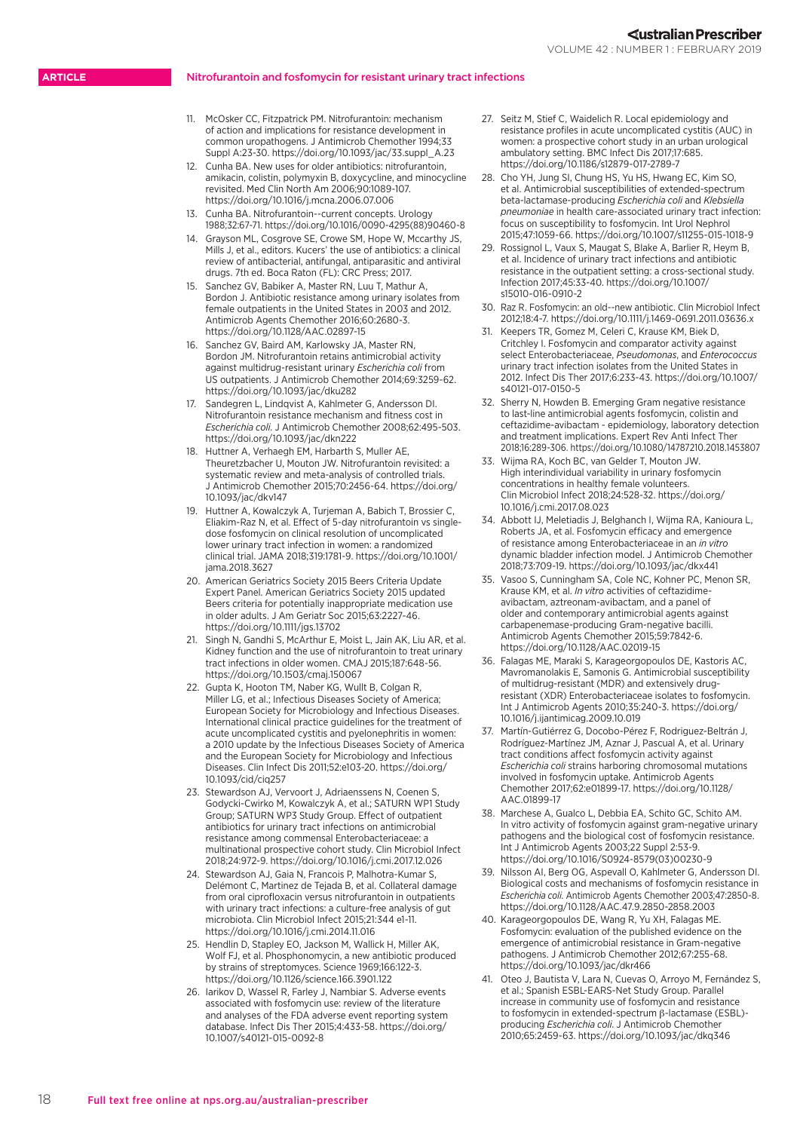## **ARTICLE**

#### Nitrofurantoin and fosfomycin for resistant urinary tract infections

- 11. McOsker CC, Fitzpatrick PM. Nitrofurantoin: mechanism of action and implications for resistance development in common uropathogens. J Antimicrob Chemother 1994;33 Suppl A:23-30. [https://doi.org/10.1093/jac/33.suppl\\_A.23](https://doi.org/10.1093/jac/33.suppl_A.23)
- 12. Cunha BA. New uses for older antibiotics: nitrofurantoin, amikacin, colistin, polymyxin B, doxycycline, and minocycline revisited. Med Clin North Am 2006;90:1089-107. <https://doi.org/10.1016/j.mcna.2006.07.006>
- 13. Cunha BA. Nitrofurantoin--current concepts. Urology 1988;32:67-71. [https://doi.org/10.1016/0090-4295\(88\)90460-8](https://doi.org/10.1016/0090-4295(88)90460-8)
- 14. Grayson ML, Cosgrove SE, Crowe SM, Hope W, Mccarthy JS, Mills L et al., editors. Kucers' the use of antibiotics: a clinical review of antibacterial, antifungal, antiparasitic and antiviral drugs. 7th ed. Boca Raton (FL): CRC Press; 2017.
- Sanchez GV, Babiker A, Master RN, Luu T, Mathur A, Bordon J. Antibiotic resistance among urinary isolates from female outpatients in the United States in 2003 and 2012. Antimicrob Agents Chemother 2016;60:2680-3. <https://doi.org/10.1128/AAC.02897-15>
- 16. Sanchez GV, Baird AM, Karlowsky JA, Master RN, Bordon JM. Nitrofurantoin retains antimicrobial activity against multidrug-resistant urinary *Escherichia coli* from US outpatients. J Antimicrob Chemother 2014;69:3259-62. <https://doi.org/10.1093/jac/dku282>
- 17. Sandegren L, Lindqvist A, Kahlmeter G, Andersson DI. Nitrofurantoin resistance mechanism and fitness cost in *Escherichia coli*. J Antimicrob Chemother 2008;62:495-503. <https://doi.org/10.1093/jac/dkn222>
- 18. Huttner A, Verhaegh EM, Harbarth S, Muller AE, Theuretzbacher U, Mouton JW. Nitrofurantoin revisited: a systematic review and meta-analysis of controlled trials. J Antimicrob Chemother 2015;70:2456-64. [https://doi.org/](https://doi.org/10.1093/jac/dkv147) [10.1093/jac/dkv147](https://doi.org/10.1093/jac/dkv147)
- 19. Huttner A, Kowalczyk A, Turjeman A, Babich T, Brossier C, Eliakim-Raz N, et al. Effect of 5-day nitrofurantoin vs singledose fosfomycin on clinical resolution of uncomplicated lower urinary tract infection in women: a randomized clinical trial. JAMA 2018;319:1781-9. [https://doi.org/10.1001/](https://doi.org/10.1001/jama.2018.3627) [jama.2018.3627](https://doi.org/10.1001/jama.2018.3627)
- 20. American Geriatrics Society 2015 Beers Criteria Update Expert Panel. American Geriatrics Society 2015 updated Beers criteria for potentially inappropriate medication use in older adults. J Am Geriatr Soc 2015;63:2227-46. <https://doi.org/10.1111/jgs.13702>
- 21. Singh N, Gandhi S, McArthur E, Moist L, Jain AK, Liu AR, et al. Kidney function and the use of nitrofurantoin to treat urinary tract infections in older women. CMAJ 2015;187:648-56. <https://doi.org/10.1503/cmaj.150067>
- 22. Gupta K, Hooton TM, Naber KG, Wullt B, Colgan R, Miller LG, et al.; Infectious Diseases Society of America; European Society for Microbiology and Infectious Diseases. International clinical practice guidelines for the treatment of acute uncomplicated cystitis and pyelonephritis in women: a 2010 update by the Infectious Diseases Society of America and the European Society for Microbiology and Infectious Diseases. Clin Infect Dis 2011;52:e103-20. [https://doi.org/](https://doi.org/10.1093/cid/ciq257) [10.1093/cid/ciq257](https://doi.org/10.1093/cid/ciq257)
- 23. Stewardson AJ, Vervoort J, Adriaenssens N, Coenen S, Godycki-Cwirko M, Kowalczyk A, et al.; SATURN WP1 Study Group; SATURN WP3 Study Group. Effect of outpatient antibiotics for urinary tract infections on antimicrobial resistance among commensal Enterobacteriaceae: a multinational prospective cohort study. Clin Microbiol Infect 2018;24:972-9.<https://doi.org/10.1016/j.cmi.2017.12.026>
- 24. Stewardson AJ, Gaia N, Francois P, Malhotra-Kumar S, Delémont C, Martinez de Tejada B, et al. Collateral damage from oral ciprofloxacin versus nitrofurantoin in outpatients with urinary tract infections: a culture-free analysis of gut microbiota. Clin Microbiol Infect 2015;21:344 e1-11. <https://doi.org/10.1016/j.cmi.2014.11.016>
- 25. Hendlin D, Stapley EO, Jackson M, Wallick H, Miller AK, Wolf FJ, et al. Phosphonomycin, a new antibiotic produced by strains of streptomyces. Science 1969;166:122-3. <https://doi.org/10.1126/science.166.3901.122>
- 26. Iarikov D, Wassel R, Farley J, Nambiar S. Adverse events associated with fosfomycin use: review of the literature and analyses of the FDA adverse event reporting system database. Infect Dis Ther 2015;4:433-58. [https://doi.org/](https://doi.org/10.1007/s40121-015-0092-8) [10.1007/s40121-015-0092-8](https://doi.org/10.1007/s40121-015-0092-8)
- 27. Seitz M, Stief C, Waidelich R, Local epidemiology and resistance profiles in acute uncomplicated cystitis (AUC) in women: a prospective cohort study in an urban urological ambulatory setting. BMC Infect Dis 2017;17:685. <https://doi.org/10.1186/s12879-017-2789-7>
- 28. Cho YH, Jung SI, Chung HS, Yu HS, Hwang EC, Kim SO, et al. Antimicrobial susceptibilities of extended-spectrum beta-lactamase-producing *Escherichia coli* and *Klebsiella pneumoniae* in health care-associated urinary tract infection: focus on susceptibility to fosfomycin. Int Urol Nephrol 2015;47:1059-66.<https://doi.org/10.1007/s11255-015-1018-9>
- 29. Rossignol L, Vaux S, Maugat S, Blake A, Barlier R, Heym B, et al. Incidence of urinary tract infections and antibiotic resistance in the outpatient setting: a cross-sectional study. Infection 2017;45:33-40. [https://doi.org/10.1007/](https://doi.org/10.1007/s15010-016-0910-2) [s15010-016-0910-2](https://doi.org/10.1007/s15010-016-0910-2)
- 30. Raz R. Fosfomycin: an old--new antibiotic. Clin Microbiol Infect 2012;18:4-7.<https://doi.org/10.1111/j.1469-0691.2011.03636.x>
- 31. Keepers TR, Gomez M, Celeri C, Krause KM, Biek D, Critchley I. Fosfomycin and comparator activity against select Enterobacteriaceae, *Pseudomonas*, and *Enterococcus* urinary tract infection isolates from the United States in 2012. Infect Dis Ther 2017;6:233-43. [https://doi.org/10.1007/](https://doi.org/10.1007/s40121-017-0150-5) [s40121-017-0150-5](https://doi.org/10.1007/s40121-017-0150-5)
- 32. Sherry N, Howden B. Emerging Gram negative resistance to last-line antimicrobial agents fosfomycin, colistin and ceftazidime-avibactam - epidemiology, laboratory detection and treatment implications. Expert Rev Anti Infect Ther 2018;16:289-306. <https://doi.org/10.1080/14787210.2018.1453807>
- 33. Wijma RA, Koch BC, van Gelder T, Mouton JW. High interindividual variability in urinary fosfomycin concentrations in healthy female volunteers. Clin Microbiol Infect 2018;24:528-32. [https://doi.org/](https://doi.org/10.1016/j.cmi.2017.08.023) [10.1016/j.cmi.2017.08.023](https://doi.org/10.1016/j.cmi.2017.08.023)
- 34. Abbott IJ, Meletiadis J, Belghanch I, Wijma RA, Kanioura L, Roberts JA, et al. Fosfomycin efficacy and emergence of resistance among Enterobacteriaceae in an *in vitro* dynamic bladder infection model. J Antimicrob Chemother 2018;73:709-19. <https://doi.org/10.1093/jac/dkx441>
- 35. Vasoo S, Cunningham SA, Cole NC, Kohner PC, Menon SR, Krause KM, et al. *In vitro* activities of ceftazidimeavibactam, aztreonam-avibactam, and a panel of older and contemporary antimicrobial agents against carbapenemase-producing Gram-negative bacilli. Antimicrob Agents Chemother 2015;59:7842-6. <https://doi.org/10.1128/AAC.02019-15>
- 36. Falagas ME, Maraki S, Karageorgopoulos DE, Kastoris AC, Mavromanolakis E, Samonis G. Antimicrobial susceptibility of multidrug-resistant (MDR) and extensively drugresistant (XDR) Enterobacteriaceae isolates to fosfomycin. Int J Antimicrob Agents 2010;35:240-3. [https://doi.org/](https://doi.org/10.1016/j.ijantimicag.2009.10.019) [10.1016/j.ijantimicag.2009.10.019](https://doi.org/10.1016/j.ijantimicag.2009.10.019)
- 37. Martín-Gutiérrez G, Docobo-Pérez F, Rodriguez-Beltrán J, Rodríguez-Martínez JM, Aznar J, Pascual A, et al. Urinary tract conditions affect fosfomycin activity against *Escherichia coli* strains harboring chromosomal mutations involved in fosfomycin uptake. Antimicrob Agents Chemother 2017;62:e01899-17. [https://doi.org/10.1128/](https://doi.org/10.1128/AAC.01899-17) [AAC.01899-17](https://doi.org/10.1128/AAC.01899-17)
- 38. Marchese A, Gualco L, Debbia EA, Schito GC, Schito AM. In vitro activity of fosfomycin against gram-negative urinary pathogens and the biological cost of fosfomycin resistance. Int J Antimicrob Agents 2003;22 Suppl 2:53-9. [https://doi.org/10.1016/S0924-8579\(03\)00230-9](https://doi.org/10.1016/S0924-8579(03)00230-9)
- 39. Nilsson AI, Berg OG, Aspevall O, Kahlmeter G, Andersson DI. Biological costs and mechanisms of fosfomycin resistance in *Escherichia coli*. Antimicrob Agents Chemother 2003;47:2850-8. <https://doi.org/10.1128/AAC.47.9.2850-2858.2003>
- 40. Karageorgopoulos DE, Wang R, Yu XH, Falagas ME. Fosfomycin: evaluation of the published evidence on the emergence of antimicrobial resistance in Gram-negative pathogens. J Antimicrob Chemother 2012;67:255-68. <https://doi.org/10.1093/jac/dkr466>
- 41. Oteo J, Bautista V, Lara N, Cuevas O, Arroyo M, Fernández S, et al.; Spanish ESBL-EARS-Net Study Group. Parallel increase in community use of fosfomycin and resistance to fosfomycin in extended-spectrum β-lactamase (ESBL) producing *Escherichia coli*. J Antimicrob Chemother 2010;65:2459-63.<https://doi.org/10.1093/jac/dkq346>